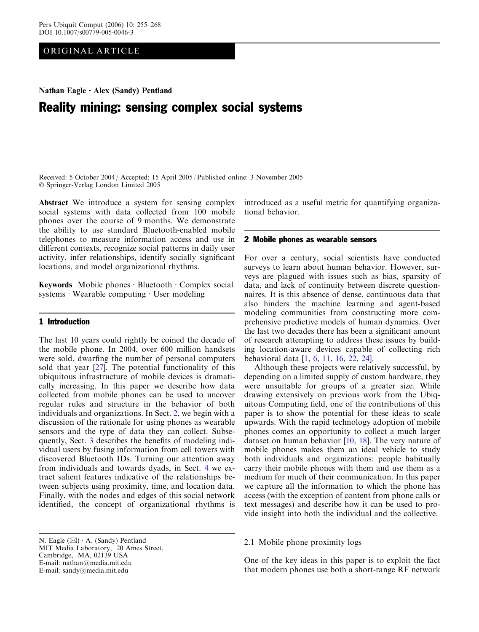# ORIGINAL ARTICLE

Nathan Eagle  $\cdot$  Alex (Sandy) Pentland

# Reality mining: sensing complex social systems

Received: 5 October 2004 / Accepted: 15 April 2005 / Published online: 3 November 2005 Springer-Verlag London Limited 2005

Abstract We introduce a system for sensing complex social systems with data collected from 100 mobile phones over the course of 9 months. We demonstrate the ability to use standard Bluetooth-enabled mobile telephones to measure information access and use in different contexts, recognize social patterns in daily user activity, infer relationships, identify socially significant locations, and model organizational rhythms.

Keywords Mobile phones  $\cdot$  Bluetooth  $\cdot$  Complex social systems  $\cdot$  Wearable computing  $\cdot$  User modeling

## 1 Introduction

The last 10 years could rightly be coined the decade of the mobile phone. In 2004, over 600 million handsets were sold, dwarfing the number of personal computers sold that year [\[27](#page-13-0)]. The potential functionality of this ubiquitous infrastructure of mobile devices is dramatically increasing. In this paper we describe how data collected from mobile phones can be used to uncover regular rules and structure in the behavior of both individuals and organizations. In Sect. 2, we begin with a discussion of the rationale for using phones as wearable sensors and the type of data they can collect. Subsequently, Sect. 3 describes the benefits of modeling individual users by fusing information from cell towers with discovered Bluetooth IDs. Turning our attention away from individuals and towards dyads, in Sect. 4 we extract salient features indicative of the relationships between subjects using proximity, time, and location data. Finally, with the nodes and edges of this social network identified, the concept of organizational rhythms is

N. Eagle  $(\boxtimes) \cdot A$ . (Sandy) Pentland MIT Media Laboratory, 20 Ames Street, Cambridge, MA, 02139 USA E-mail: nathan@media.mit.edu E-mail: sandy@media.mit.edu

introduced as a useful metric for quantifying organizational behavior.

## 2 Mobile phones as wearable sensors

For over a century, social scientists have conducted surveys to learn about human behavior. However, surveys are plagued with issues such as bias, sparsity of data, and lack of continuity between discrete questionnaires. It is this absence of dense, continuous data that also hinders the machine learning and agent-based modeling communities from constructing more comprehensive predictive models of human dynamics. Over the last two decades there has been a significant amount of research attempting to address these issues by building location-aware devices capable of collecting rich behavioral data [[1,](#page-12-0) [6](#page-12-0), [11](#page-12-0), [16,](#page-12-0) [22,](#page-13-0) [24](#page-13-0)].

Although these projects were relatively successful, by depending on a limited supply of custom hardware, they were unsuitable for groups of a greater size. While drawing extensively on previous work from the Ubiquitous Computing field, one of the contributions of this paper is to show the potential for these ideas to scale upwards. With the rapid technology adoption of mobile phones comes an opportunity to collect a much larger dataset on human behavior [[10,](#page-12-0) [18](#page-12-0)]. The very nature of mobile phones makes them an ideal vehicle to study both individuals and organizations: people habitually carry their mobile phones with them and use them as a medium for much of their communication. In this paper we capture all the information to which the phone has access (with the exception of content from phone calls or text messages) and describe how it can be used to provide insight into both the individual and the collective.

### 2.1 Mobile phone proximity logs

One of the key ideas in this paper is to exploit the fact that modern phones use both a short-range RF network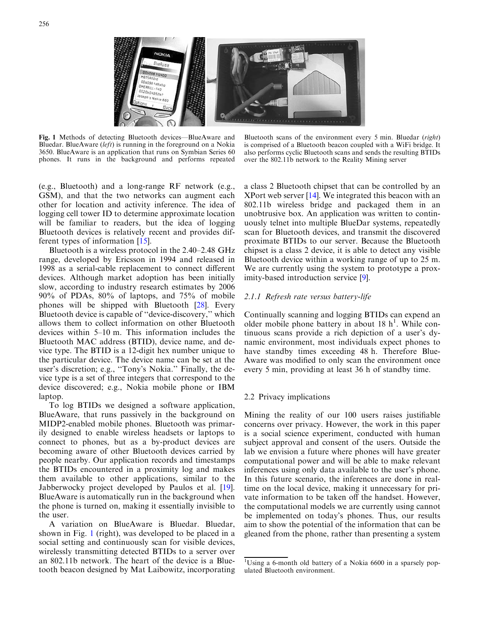

Fig. 1 Methods of detecting Bluetooth devices—BlueAware and Bluedar. BlueAware  $(left)$  is running in the foreground on a Nokia 3650. BlueAware is an application that runs on Symbian Series 60 phones. It runs in the background and performs repeated

(e.g., Bluetooth) and a long-range RF network (e.g., GSM), and that the two networks can augment each other for location and activity inference. The idea of logging cell tower ID to determine approximate location will be familiar to readers, but the idea of logging Bluetooth devices is relatively recent and provides different types of information [[15](#page-12-0)].

Bluetooth is a wireless protocol in the 2.40–2.48 GHz range, developed by Ericsson in 1994 and released in 1998 as a serial-cable replacement to connect different devices. Although market adoption has been initially slow, according to industry research estimates by 2006 90% of PDAs, 80% of laptops, and 75% of mobile phones will be shipped with Bluetooth [\[28](#page-13-0)]. Every Bluetooth device is capable of ''device-discovery,'' which allows them to collect information on other Bluetooth devices within 5–10 m. This information includes the Bluetooth MAC address (BTID), device name, and device type. The BTID is a 12-digit hex number unique to the particular device. The device name can be set at the user's discretion; e.g., ''Tony's Nokia.'' Finally, the device type is a set of three integers that correspond to the device discovered; e.g., Nokia mobile phone or IBM laptop.

To log BTIDs we designed a software application, BlueAware, that runs passively in the background on MIDP2-enabled mobile phones. Bluetooth was primarily designed to enable wireless headsets or laptops to connect to phones, but as a by-product devices are becoming aware of other Bluetooth devices carried by people nearby. Our application records and timestamps the BTIDs encountered in a proximity log and makes them available to other applications, similar to the Jabberwocky project developed by Paulos et al. [\[19](#page-13-0)]. BlueAware is automatically run in the background when the phone is turned on, making it essentially invisible to the user.

A variation on BlueAware is Bluedar. Bluedar, shown in Fig. 1 (right), was developed to be placed in a social setting and continuously scan for visible devices, wirelessly transmitting detected BTIDs to a server over an 802.11b network. The heart of the device is a Bluetooth beacon designed by Mat Laibowitz, incorporating

Bluetooth scans of the environment every 5 min. Bluedar (right) is comprised of a Bluetooth beacon coupled with a WiFi bridge. It also performs cyclic Bluetooth scans and sends the resulting BTIDs over the 802.11b network to the Reality Mining server

a class 2 Bluetooth chipset that can be controlled by an [XPort web server \[14](#page-12-0)]. We integrated this beacon with an 802.11b wireless bridge and packaged them in an unobtrusive box. An application was written to continuously telnet into multiple BlueDar systems, repeatedly scan for Bluetooth devices, and transmit the discovered proximate BTIDs to our server. Because the Bluetooth chipset is a class 2 device, it is able to detect any visible Bluetooth device within a working range of up to 25 m. We are currently using the system to prototype a proximity-based introduction service [[9\]](#page-12-0).

## 2.1.1 Refresh rate versus battery-life

Continually scanning and logging BTIDs can expend an older mobile phone battery in about  $18 h<sup>1</sup>$ . While continuous scans provide a rich depiction of a user's dynamic environment, most individuals expect phones to have standby times exceeding 48 h. Therefore Blue-Aware was modified to only scan the environment once every 5 min, providing at least 36 h of standby time.

## 2.2 Privacy implications

Mining the reality of our 100 users raises justifiable concerns over privacy. However, the work in this paper is a social science experiment, conducted with human subject approval and consent of the users. Outside the lab we envision a future where phones will have greater computational power and will be able to make relevant inferences using only data available to the user's phone. In this future scenario, the inferences are done in realtime on the local device, making it unnecessary for private information to be taken off the handset. However, the computational models we are currently using cannot be implemented on today's phones. Thus, our results aim to show the potential of the information that can be gleaned from the phone, rather than presenting a system

<sup>&</sup>lt;sup>1</sup>Using a 6-month old battery of a Nokia 6600 in a sparsely populated Bluetooth environment.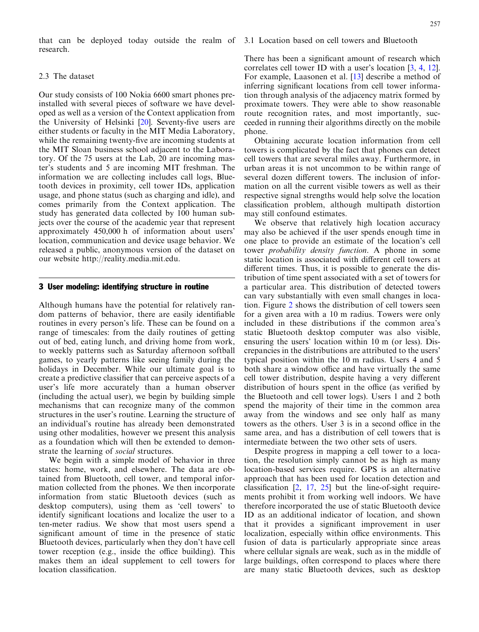that can be deployed today outside the realm of 3.1 Location based on cell towers and Bluetooth research.

#### 2.3 The dataset

Our study consists of 100 Nokia 6600 smart phones preinstalled with several pieces of software we have developed as well as a version of the Context application from the University of Helsinki [\[20](#page-13-0)]. Seventy-five users are either students or faculty in the MIT Media Laboratory, while the remaining twenty-five are incoming students at the MIT Sloan business school adjacent to the Laboratory. Of the 75 users at the Lab, 20 are incoming master's students and 5 are incoming MIT freshman. The information we are collecting includes call logs, Bluetooth devices in proximity, cell tower IDs, application usage, and phone status (such as charging and idle), and comes primarily from the Context application. The study has generated data collected by 100 human subjects over the course of the academic year that represent approximately 450,000 h of information about users' location, communication and device usage behavior. We released a public, anonymous version of the dataset on our website http://reality.media.mit.edu.

### 3 User modeling: identifying structure in routine

Although humans have the potential for relatively random patterns of behavior, there are easily identifiable routines in every person's life. These can be found on a range of timescales: from the daily routines of getting out of bed, eating lunch, and driving home from work, to weekly patterns such as Saturday afternoon softball games, to yearly patterns like seeing family during the holidays in December. While our ultimate goal is to create a predictive classifier that can perceive aspects of a user's life more accurately than a human observer (including the actual user), we begin by building simple mechanisms that can recognize many of the common structures in the user's routine. Learning the structure of an individual's routine has already been demonstrated using other modalities, however we present this analysis as a foundation which will then be extended to demonstrate the learning of social structures.

We begin with a simple model of behavior in three states: home, work, and elsewhere. The data are obtained from Bluetooth, cell tower, and temporal information collected from the phones. We then incorporate information from static Bluetooth devices (such as desktop computers), using them as 'cell towers' to identify significant locations and localize the user to a ten-meter radius. We show that most users spend a significant amount of time in the presence of static Bluetooth devices, particularly when they don't have cell tower reception (e.g., inside the office building). This makes them an ideal supplement to cell towers for location classification.

There has been a significant amount of research which correlates cell tower ID with a user's location [\[3](#page-12-0), [4](#page-12-0), [12\]](#page-12-0). For example, Laasonen et al. [\[13](#page-12-0)] describe a method of inferring significant locations from cell tower information through analysis of the adjacency matrix formed by proximate towers. They were able to show reasonable route recognition rates, and most importantly, succeeded in running their algorithms directly on the mobile phone.

Obtaining accurate location information from cell towers is complicated by the fact that phones can detect cell towers that are several miles away. Furthermore, in urban areas it is not uncommon to be within range of several dozen different towers. The inclusion of information on all the current visible towers as well as their respective signal strengths would help solve the location classification problem, although multipath distortion may still confound estimates.

We observe that relatively high location accuracy may also be achieved if the user spends enough time in one place to provide an estimate of the location's cell tower probability density function. A phone in some static location is associated with different cell towers at different times. Thus, it is possible to generate the distribution of time spent associated with a set of towers for a particular area. This distribution of detected towers can vary substantially with even small changes in location. Figure 2 [shows the distribution of cell towers seen](#page-3-0) [for a given area with a 10 m radius. Towers were only](#page-3-0) [included in these distributions if the common area's](#page-3-0) [static Bluetooth desktop computer was also visible,](#page-3-0) [ensuring the users' location within 10 m \(or less\). Dis](#page-3-0)[crepancies in the distributions are attributed to the users'](#page-3-0) [typical position within the 10 m radius. Users 4 and 5](#page-3-0) [both share a window office and have virtually the same](#page-3-0) [cell tower distribution, despite having a very different](#page-3-0) [distribution of hours spent in the office \(as verified by](#page-3-0) [the Bluetooth and cell tower logs\). Users 1 and 2 both](#page-3-0) [spend the majority of their time in the common area](#page-3-0) [away from the windows and see only half as many](#page-3-0) [towers as the others. User 3 is in a second office in the](#page-3-0) [same area, and has a distribution of cell towers that is](#page-3-0) [intermediate between the two other sets of users.](#page-3-0)

Despite progress in mapping a cell tower to a location, the resolution simply cannot be as high as many location-based services require. GPS is an alternative approach that has been used for location detection and classification [[2,](#page-12-0) [17](#page-12-0), [25\]](#page-13-0) but the line-of-sight requirements prohibit it from working well indoors. We have therefore incorporated the use of static Bluetooth device ID as an additional indicator of location, and shown that it provides a significant improvement in user localization, especially within office environments. This fusion of data is particularly appropriate since areas where cellular signals are weak, such as in the middle of large buildings, often correspond to places where there are many static Bluetooth devices, such as desktop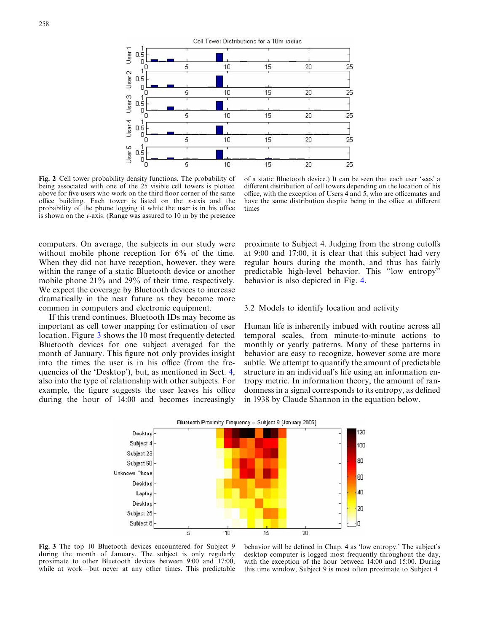<span id="page-3-0"></span>

Fig. 2 Cell tower probability density functions. The probability of being associated with one of the 25 visible cell towers is plotted above for five users who work on the third floor corner of the same office building. Each tower is listed on the x-axis and the probability of the phone logging it while the user is in his office is shown on the y-axis. (Range was assured to 10 m by the presence

of a static Bluetooth device.) It can be seen that each user 'sees' a different distribution of cell towers depending on the location of his office, with the exception of Users 4 and 5, who are officemates and have the same distribution despite being in the office at different times

computers. On average, the subjects in our study were without mobile phone reception for  $6\%$  of the time. When they did not have reception, however, they were within the range of a static Bluetooth device or another mobile phone 21% and 29% of their time, respectively. We expect the coverage by Bluetooth devices to increase dramatically in the near future as they become more common in computers and electronic equipment.

If this trend continues, Bluetooth IDs may become as important as cell tower mapping for estimation of user location. Figure 3 shows the 10 most frequently detected Bluetooth devices for one subject averaged for the month of January. This figure not only provides insight into the times the user is in his office (from the frequencies of the 'Desktop'), but, as mentioned in Sect. 4, also into the type of relationship with other subjects. For example, the figure suggests the user leaves his office during the hour of 14:00 and becomes increasingly proximate to Subject 4. Judging from the strong cutoffs at 9:00 and 17:00, it is clear that this subject had very regular hours during the month, and thus has fairly predictable high-level behavior. This ''low entropy'' [behavior is also depicted in Fig.](#page-4-0) 4.

## 3.2 Models to identify location and activity

Human life is inherently imbued with routine across all temporal scales, from minute-to-minute actions to monthly or yearly patterns. Many of these patterns in behavior are easy to recognize, however some are more subtle. We attempt to quantify the amount of predictable structure in an individual's life using an information entropy metric. In information theory, the amount of randomness in a signal corresponds to its entropy, as defined in 1938 by Claude Shannon in the equation below.



Fig. 3 The top 10 Bluetooth devices encountered for Subject 9 during the month of January. The subject is only regularly proximate to other Bluetooth devices between 9:00 and 17:00, while at work—but never at any other times. This predictable

behavior will be defined in Chap. 4 as 'low entropy.' The subject's desktop computer is logged most frequently throughout the day, with the exception of the hour between 14:00 and 15:00. During this time window, Subject 9 is most often proximate to Subject 4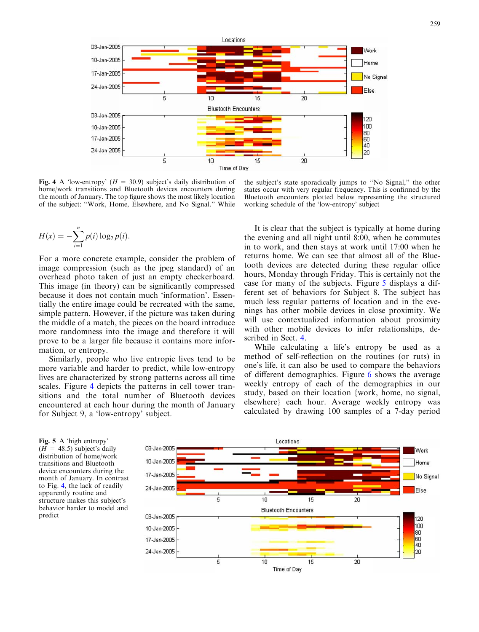<span id="page-4-0"></span>

Fig. 4 A 'low-entropy'  $(H = 30.9)$  subject's daily distribution of home/work transitions and Bluetooth devices encounters during the month of January. The top figure shows the most likely location of the subject: ''Work, Home, Elsewhere, and No Signal.'' While

the subject's state sporadically jumps to ''No Signal,'' the other states occur with very regular frequency. This is confirmed by the Bluetooth encounters plotted below representing the structured working schedule of the 'low-entropy' subject

$$
H(x) = -\sum_{i=1}^{n} p(i) \log_2 p(i).
$$

For a more concrete example, consider the problem of image compression (such as the jpeg standard) of an overhead photo taken of just an empty checkerboard. This image (in theory) can be significantly compressed because it does not contain much 'information'. Essentially the entire image could be recreated with the same, simple pattern. However, if the picture was taken during the middle of a match, the pieces on the board introduce more randomness into the image and therefore it will prove to be a larger file because it contains more information, or entropy.

Similarly, people who live entropic lives tend to be more variable and harder to predict, while low-entropy lives are characterized by strong patterns across all time scales. Figure 4 depicts the patterns in cell tower transitions and the total number of Bluetooth devices encountered at each hour during the month of January for Subject 9, a 'low-entropy' subject.

It is clear that the subject is typically at home during the evening and all night until 8:00, when he commutes in to work, and then stays at work until 17:00 when he returns home. We can see that almost all of the Bluetooth devices are detected during these regular office hours, Monday through Friday. This is certainly not the case for many of the subjects. Figure 5 displays a different set of behaviors for Subject 8. The subject has much less regular patterns of location and in the evenings has other mobile devices in close proximity. We will use contextualized information about proximity with other mobile devices to infer relationships, described in Sect. 4.

While calculating a life's entropy be used as a method of self-reflection on the routines (or ruts) in one's life, it can also be used to compare the behaviors of different demographics. Figure 6 [shows the average](#page-5-0) [weekly entropy of each of the demographics in our](#page-5-0) [study, based on their location {work, home, no signal,](#page-5-0) [elsewhere} each hour. Average weekly entropy was](#page-5-0) [calculated by drawing 100 samples of a 7-day period](#page-5-0)

Fig. 5 A 'high entropy'  $(H = 48.5)$  subject's daily distribution of home/work transitions and Bluetooth device encounters during the month of January. In contrast to Fig. 4, the lack of readily apparently routine and structure makes this subject's behavior harder to model and predict

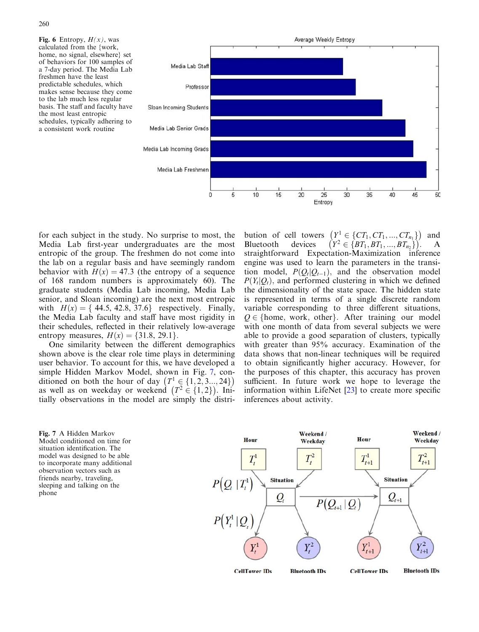<span id="page-5-0"></span>Fig. 6 Entropy,  $H(x)$ , was calculated from the {work, home, no signal, elsewhere} set of behaviors for 100 samples of a 7-day period. The Media Lab freshmen have the least predictable schedules, which makes sense because they come to the lab much less regular basis. The staff and faculty have the most least entropic schedules, typically adhering to a consistent work routine



for each subject in the study. No surprise to most, the Media Lab first-year undergraduates are the most entropic of the group. The freshmen do not come into the lab on a regular basis and have seemingly random behavior with  $H(x) = 47.3$  (the entropy of a sequence of 168 random numbers is approximately 60). The graduate students (Media Lab incoming, Media Lab senior, and Sloan incoming) are the next most entropic with  $H(x) = \{44.5, 42.8, 37.6\}$  respectively. Finally, the Media Lab faculty and staff have most rigidity in their schedules, reflected in their relatively low-average entropy measures,  $H(x) = \{31.8, 29.1\}.$ 

One similarity between the different demographics shown above is the clear role time plays in determining user behavior. To account for this, we have developed a simple Hidden Markov Model, shown in Fig. 7, conditioned on both the hour of day  $(T^1 \in \{1, 2, 3, \ldots, 24\})$ as well as on weekday or weekend  $(T^2 \in \{1, 2\})$ . Initially observations in the model are simply the distri-

bution of cell towers  $(Y^1 \in \{CT_1, CT_1, ..., CT_{n_1}\})$  and Bluetooth devices  $(Y^2 \in \{BT_1, BT_1, ..., BT_n\})$ .  $\bf{A}$ straightforward Expectation-Maximization inference engine was used to learn the parameters in the transition model,  $P(Q_t | Q_{t-1})$ , and the observation model  $P(Y_t | Q_t)$ , and performed clustering in which we defined the dimensionality of the state space. The hidden state is represented in terms of a single discrete random variable corresponding to three different situations,  $Q \in \{home, work, other\}$ . After training our model with one month of data from several subjects we were able to provide a good separation of clusters, typically with greater than 95% accuracy. Examination of the data shows that non-linear techniques will be required to obtain significantly higher accuracy. However, for the purposes of this chapter, this accuracy has proven sufficient. In future work we hope to leverage the [information within LifeNet \[23\]](#page-13-0) to create more specific inferences about activity.

Fig. 7 A Hidden Markov Model conditioned on time for situation identification. The model was designed to be able to incorporate many additional observation vectors such as friends nearby, traveling, sleeping and talking on the phone

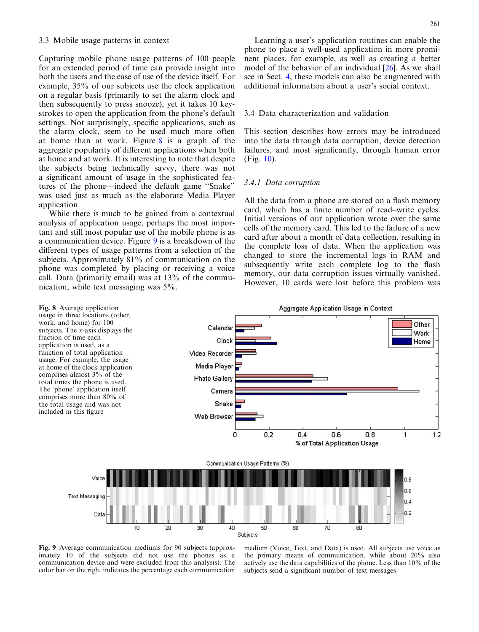## 3.3 Mobile usage patterns in context

Capturing mobile phone usage patterns of 100 people for an extended period of time can provide insight into both the users and the ease of use of the device itself. For example, 35% of our subjects use the clock application on a regular basis (primarily to set the alarm clock and then subsequently to press snooze), yet it takes 10 keystrokes to open the application from the phone's default settings. Not surprisingly, specific applications, such as the alarm clock, seem to be used much more often at home than at work. Figure 8 is a graph of the aggregate popularity of different applications when both at home and at work. It is interesting to note that despite the subjects being technically savvy, there was not a significant amount of usage in the sophisticated features of the phone—indeed the default game ''Snake'' was used just as much as the elaborate Media Player application.

While there is much to be gained from a contextual analysis of application usage, perhaps the most important and still most popular use of the mobile phone is as a communication device. Figure 9 is a breakdown of the different types of usage patterns from a selection of the subjects. Approximately 81% of communication on the phone was completed by placing or receiving a voice call. Data (primarily email) was at 13% of the communication, while text messaging was 5%.

Learning a user's application routines can enable the phone to place a well-used application in more prominent places, for example, as well as creating a better model of the behavior of an individual [\[26\]](#page-13-0). As we shall see in Sect. 4, these models can also be augmented with additional information about a user's social context.

## 3.4 Data characterization and validation

This section describes how errors may be introduced into the data through data corruption, device detection failures, and most significantly, through human error (Fig. [10\).](#page-7-0)

#### 3.4.1 Data corruption

All the data from a phone are stored on a flash memory card, which has a finite number of read–write cycles. Initial versions of our application wrote over the same cells of the memory card. This led to the failure of a new card after about a month of data collection, resulting in the complete loss of data. When the application was changed to store the incremental logs in RAM and subsequently write each complete log to the flash memory, our data corruption issues virtually vanished. However, 10 cards were lost before this problem was



Fig. 9 Average communication mediums for 90 subjects (approximately 10 of the subjects did not use the phones as a communication device and were excluded from this analysis). The color bar on the right indicates the percentage each communication

medium (Voice, Text, and Data) is used. All subjects use voice as the primary means of communication, while about 20% also actively use the data capabilities of the phone. Less than 10% of the subjects send a significant number of text messages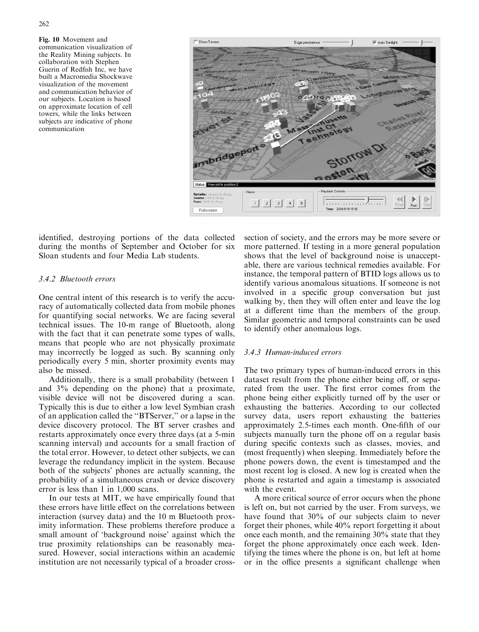<span id="page-7-0"></span>Fig. 10 Movement and communication visualization of the Reality Mining subjects. In collaboration with Stephen Guerin of Redfish Inc, we have built a Macromedia Shockwave visualization of the movement and communication behavior of our subjects. Location is based on approximate location of cell towers, while the links between subjects are indicative of phone communication



identified, destroying portions of the data collected during the months of September and October for six Sloan students and four Media Lab students.

## 3.4.2 Bluetooth errors

One central intent of this research is to verify the accuracy of automatically collected data from mobile phones for quantifying social networks. We are facing several technical issues. The 10-m range of Bluetooth, along with the fact that it can penetrate some types of walls, means that people who are not physically proximate may incorrectly be logged as such. By scanning only periodically every 5 min, shorter proximity events may also be missed.

Additionally, there is a small probability (between 1 and 3% depending on the phone) that a proximate, visible device will not be discovered during a scan. Typically this is due to either a low level Symbian crash of an application called the ''BTServer,'' or a lapse in the device discovery protocol. The BT server crashes and restarts approximately once every three days (at a 5-min scanning interval) and accounts for a small fraction of the total error. However, to detect other subjects, we can leverage the redundancy implicit in the system. Because both of the subjects' phones are actually scanning, the probability of a simultaneous crash or device discovery error is less than 1 in 1,000 scans.

In our tests at MIT, we have empirically found that these errors have little effect on the correlations between interaction (survey data) and the 10 m Bluetooth proximity information. These problems therefore produce a small amount of 'background noise' against which the true proximity relationships can be reasonably measured. However, social interactions within an academic institution are not necessarily typical of a broader cross-

section of society, and the errors may be more severe or more patterned. If testing in a more general population shows that the level of background noise is unacceptable, there are various technical remedies available. For instance, the temporal pattern of BTID logs allows us to identify various anomalous situations. If someone is not involved in a specific group conversation but just walking by, then they will often enter and leave the log at a different time than the members of the group. Similar geometric and temporal constraints can be used to identify other anomalous logs.

## 3.4.3 Human-induced errors

The two primary types of human-induced errors in this dataset result from the phone either being off, or separated from the user. The first error comes from the phone being either explicitly turned off by the user or exhausting the batteries. According to our collected survey data, users report exhausting the batteries approximately 2.5-times each month. One-fifth of our subjects manually turn the phone off on a regular basis during specific contexts such as classes, movies, and (most frequently) when sleeping. Immediately before the phone powers down, the event is timestamped and the most recent log is closed. A new log is created when the phone is restarted and again a timestamp is associated with the event.

A more critical source of error occurs when the phone is left on, but not carried by the user. From surveys, we have found that 30% of our subjects claim to never forget their phones, while 40% report forgetting it about once each month, and the remaining 30% state that they forget the phone approximately once each week. Identifying the times where the phone is on, but left at home or in the office presents a significant challenge when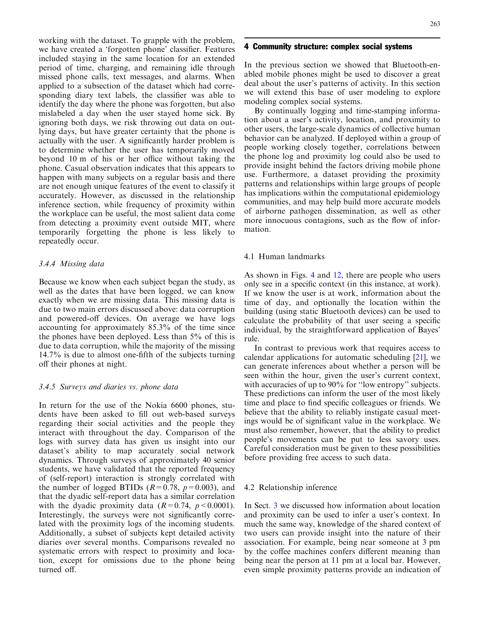working with the dataset. To grapple with the problem, we have created a 'forgotten phone' classifier. Features included staying in the same location for an extended period of time, charging, and remaining idle through missed phone calls, text messages, and alarms. When applied to a subsection of the dataset which had corresponding diary text labels, the classifier was able to identify the day where the phone was forgotten, but also mislabeled a day when the user stayed home sick. By ignoring both days, we risk throwing out data on outlying days, but have greater certainty that the phone is actually with the user. A significantly harder problem is to determine whether the user has temporarily moved beyond 10 m of his or her office without taking the phone. Casual observation indicates that this appears to happen with many subjects on a regular basis and there are not enough unique features of the event to classify it accurately. However, as discussed in the relationship inference section, while frequency of proximity within the workplace can be useful, the most salient data come from detecting a proximity event outside MIT, where temporarily forgetting the phone is less likely to repeatedly occur.

## 3.4.4 Missing data

Because we know when each subject began the study, as well as the dates that have been logged, we can know exactly when we are missing data. This missing data is due to two main errors discussed above: data corruption and powered-off devices. On average we have logs accounting for approximately 85.3% of the time since the phones have been deployed. Less than 5% of this is due to data corruption, while the majority of the missing 14.7% is due to almost one-fifth of the subjects turning off their phones at night.

## 3.4.5 Surveys and diaries vs. phone data

In return for the use of the Nokia 6600 phones, students have been asked to fill out web-based surveys regarding their social activities and the people they interact with throughout the day. Comparison of the logs with survey data has given us insight into our dataset's ability to map accurately social network dynamics. Through surveys of approximately 40 senior students, we have validated that the reported frequency of (self-report) interaction is strongly correlated with the number of logged BTIDs ( $R=0.78$ ,  $p=0.003$ ), and that the dyadic self-report data has a similar correlation with the dyadic proximity data  $(R=0.74, p<0.0001)$ . Interestingly, the surveys were not significantly correlated with the proximity logs of the incoming students. Additionally, a subset of subjects kept detailed activity diaries over several months. Comparisons revealed no systematic errors with respect to proximity and location, except for omissions due to the phone being turned off.

## 4 Community structure: complex social systems

In the previous section we showed that Bluetooth-enabled mobile phones might be used to discover a great deal about the user's patterns of activity. In this section we will extend this base of user modeling to explore modeling complex social systems.

By continually logging and time-stamping information about a user's activity, location, and proximity to other users, the large-scale dynamics of collective human behavior can be analyzed. If deployed within a group of people working closely together, correlations between the phone log and proximity log could also be used to provide insight behind the factors driving mobile phone use. Furthermore, a dataset providing the proximity patterns and relationships within large groups of people has implications within the computational epidemiology communities, and may help build more accurate models of airborne pathogen dissemination, as well as other more innocuous contagions, such as the flow of information.

#### 4.1 Human landmarks

As shown in Figs. 4 and [12, there are people who users](#page-9-0) [only see in a specific context \(in this instance, at work\).](#page-9-0) [If we know the user is at work, information about the](#page-9-0) [time of day, and optionally the location within the](#page-9-0) [building \(using static Bluetooth devices\) can be used to](#page-9-0) [calculate the probability of that user seeing a specific](#page-9-0) [individual, by the straightforward application of Bayes'](#page-9-0) [rule.](#page-9-0)

In contrast to previous work that requires access to calendar applications for automatic scheduling [\[21](#page-13-0)], we can generate inferences about whether a person will be seen within the hour, given the user's current context, with accuracies of up to 90% for "low entropy" subjects. These predictions can inform the user of the most likely time and place to find specific colleagues or friends. We believe that the ability to reliably instigate casual meetings would be of significant value in the workplace. We must also remember, however, that the ability to predict people's movements can be put to less savory uses. Careful consideration must be given to these possibilities before providing free access to such data.

### 4.2 Relationship inference

In Sect. 3 we discussed how information about location and proximity can be used to infer a user's context. In much the same way, knowledge of the shared context of two users can provide insight into the nature of their association. For example, being near someone at 3 pm by the coffee machines confers different meaning than being near the person at 11 pm at a local bar. However, even simple proximity patterns provide an indication of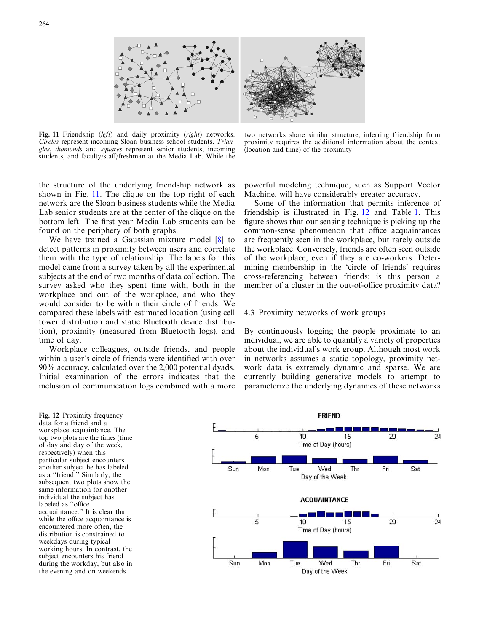<span id="page-9-0"></span>



(location and time) of the proximity

Fig. 11 Friendship (*left*) and daily proximity (*right*) networks. Circles represent incoming Sloan business school students. Triangles, diamonds and squares represent senior students, incoming students, and faculty/staff/freshman at the Media Lab. While the

the structure of the underlying friendship network as shown in Fig. 11. The clique on the top right of each network are the Sloan business students while the Media Lab senior students are at the center of the clique on the bottom left. The first year Media Lab students can be found on the periphery of both graphs.

We have trained a Gaussian mixture model [\[8](#page-12-0)] to detect patterns in proximity between users and correlate them with the type of relationship. The labels for this model came from a survey taken by all the experimental subjects at the end of two months of data collection. The survey asked who they spent time with, both in the workplace and out of the workplace, and who they would consider to be within their circle of friends. We compared these labels with estimated location (using cell tower distribution and static Bluetooth device distribution), proximity (measured from Bluetooth logs), and time of day.

Workplace colleagues, outside friends, and people within a user's circle of friends were identified with over 90% accuracy, calculated over the 2,000 potential dyads. Initial examination of the errors indicates that the inclusion of communication logs combined with a more powerful modeling technique, such as Support Vector Machine, will have considerably greater accuracy.

two networks share similar structure, inferring friendship from proximity requires the additional information about the context

Some of the information that permits inference of friendship is illustrated in Fig. 12 [and Table](#page-10-0) 1. This [figure shows that our sensing technique is picking up the](#page-10-0) [common-sense phenomenon that office acquaintances](#page-10-0) [are frequently seen in the workplace, but rarely outside](#page-10-0) [the workplace. Conversely, friends are often seen outside](#page-10-0) [of the workplace, even if they are co-workers. Deter](#page-10-0)[mining membership in the 'circle of friends' requires](#page-10-0) [cross-referencing between friends: is this person a](#page-10-0) [member of a cluster in the out-of-office proximity data?](#page-10-0)

## 4.3 Proximity networks of work groups

By continuously logging the people proximate to an individual, we are able to quantify a variety of properties about the individual's work group. Although most work in networks assumes a static topology, proximity network data is extremely dynamic and sparse. We are currently building generative models to attempt to parameterize the underlying dynamics of these networks

Fig. 12 Proximity frequency data for a friend and a workplace acquaintance. The top two plots are the times (time of day and day of the week, respectively) when this particular subject encounters another subject he has labeled as a ''friend.'' Similarly, the subsequent two plots show the same information for another individual the subject has labeled as ''office acquaintance.'' It is clear that while the office acquaintance is encountered more often, the distribution is constrained to weekdays during typical working hours. In contrast, the subject encounters his friend during the workday, but also in the evening and on weekends

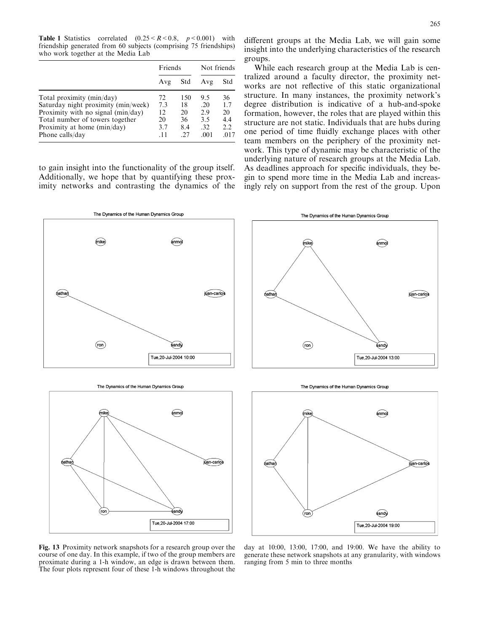<span id="page-10-0"></span>**Table 1** Statistics correlated  $(0.25 \le R \le 0.8, p \le 0.001)$  with friendship generated from 60 subjects (comprising 75 friendships) who work together at the Media Lab

|                                     | Friends |     | Not friends |      |
|-------------------------------------|---------|-----|-------------|------|
|                                     | Avg     | Std | Avg         | Std  |
| Total proximity (min/day)           | 72      | 150 | 9.5         | 36   |
| Saturday night proximity (min/week) | 7.3     | 18  | .20         | 1.7  |
| Proximity with no signal (min/day)  | 12      | 20  | 2.9         | 20   |
| Total number of towers together     | 20      | 36  | 3.5         | 4.4  |
| Proximity at home (min/day)         | 3.7     | 8.4 | .32         | 2.2  |
| Phone calls/day                     | .11     | -27 | .001        | .017 |

to gain insight into the functionality of the group itself. Additionally, we hope that by quantifying these proximity networks and contrasting the dynamics of the

different groups at the Media Lab, we will gain some insight into the underlying characteristics of the research groups.

While each research group at the Media Lab is centralized around a faculty director, the proximity networks are not reflective of this static organizational structure. In many instances, the proximity network's degree distribution is indicative of a hub-and-spoke formation, however, the roles that are played within this structure are not static. Individuals that are hubs during one period of time fluidly exchange places with other team members on the periphery of the proximity network. This type of dynamic may be characteristic of the underlying nature of research groups at the Media Lab. As deadlines approach for specific individuals, they begin to spend more time in the Media Lab and increasingly rely on support from the rest of the group. Upon



Fig. 13 Proximity network snapshots for a research group over the course of one day. In this example, if two of the group members are proximate during a 1-h window, an edge is drawn between them. The four plots represent four of these 1-h windows throughout the

day at 10:00, 13:00, 17:00, and 19:00. We have the ability to generate these network snapshots at any granularity, with windows ranging from 5 min to three months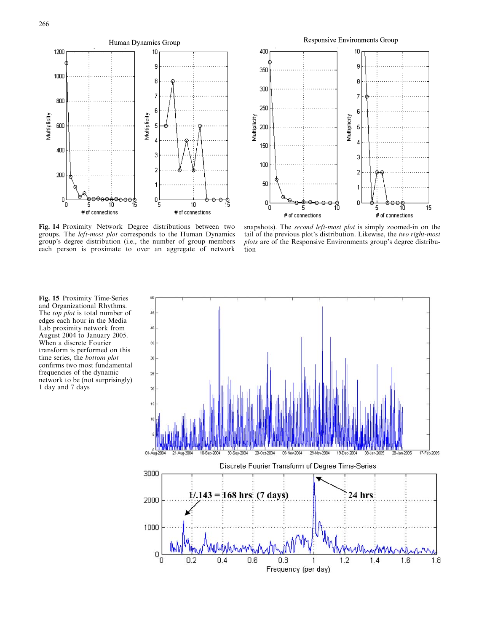<span id="page-11-0"></span>



Fig. 14 Proximity Network Degree distributions between two groups. The left-most plot corresponds to the Human Dynamics group's degree distribution (i.e., the number of group members each person is proximate to over an aggregate of network

snapshots). The second left-most plot is simply zoomed-in on the tail of the previous plot's distribution. Likewise, the two right-most plots are of the Responsive Environments group's degree distribution

Fig. 15 Proximity Time-Series and Organizational Rhythms. The top plot is total number of edges each hour in the Media Lab proximity network from August 2004 to January 2005. When a discrete Fourier transform is performed on this time series, the bottom plot confirms two most fundamental frequencies of the dynamic network to be (not surprisingly) 1 day and 7 days

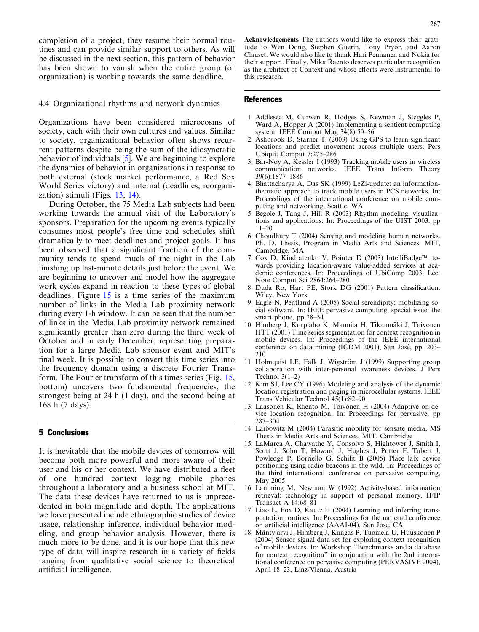<span id="page-12-0"></span>completion of a project, they resume their normal routines and can provide similar support to others. As will be discussed in the next section, this pattern of behavior has been shown to vanish when the entire group (or organization) is working towards the same deadline.

## 4.4 Organizational rhythms and network dynamics

Organizations have been considered microcosms of society, each with their own cultures and values. Similar to society, organizational behavior often shows recurrent patterns despite being the sum of the idiosyncratic behavior of individuals [5]. We are beginning to explore the dynamics of behavior in organizations in response to both external (stock market performance, a Red Sox World Series victory) and internal (deadlines, reorganization) stimuli (Figs. 13, [14\).](#page-11-0)

During October, the 75 Media Lab subjects had been working towards the annual visit of the Laboratory's sponsors. Preparation for the upcoming events typically consumes most people's free time and schedules shift dramatically to meet deadlines and project goals. It has been observed that a significant fraction of the community tends to spend much of the night in the Lab finishing up last-minute details just before the event. We are beginning to uncover and model how the aggregate work cycles expand in reaction to these types of global deadlines. Figure 15 [is a time series of the maximum](#page-11-0) [number of links in the Media Lab proximity network](#page-11-0) [during every 1-h window. It can be seen that the number](#page-11-0) [of links in the Media Lab proximity network remained](#page-11-0) [significantly greater than zero during the third week of](#page-11-0) [October and in early December, representing prepara](#page-11-0)[tion for a large Media Lab sponsor event and MIT's](#page-11-0) [final week. It is possible to convert this time series into](#page-11-0) [the frequency domain using a discrete Fourier Trans](#page-11-0)[form. The Fourier transform of this times series \(Fig.](#page-11-0) 15, [bottom\) uncovers two fundamental frequencies, the](#page-11-0) [strongest being at 24 h \(1 day\), and the second being at](#page-11-0) [168 h \(7 days\).](#page-11-0)

# 5 Conclusions

It is inevitable that the mobile devices of tomorrow will become both more powerful and more aware of their user and his or her context. We have distributed a fleet of one hundred context logging mobile phones throughout a laboratory and a business school at MIT. The data these devices have returned to us is unprecedented in both magnitude and depth. The applications we have presented include ethnographic studies of device usage, relationship inference, individual behavior modeling, and group behavior analysis. However, there is much more to be done, and it is our hope that this new type of data will inspire research in a variety of fields ranging from qualitative social science to theoretical artificial intelligence.

Acknowledgements The authors would like to express their gratitude to Wen Dong, Stephen Guerin, Tony Pryor, and Aaron Clauset. We would also like to thank Hari Pennanen and Nokia for their support. Finally, Mika Raento deserves particular recognition as the architect of Context and whose efforts were instrumental to this research.

#### References

- 1. Addlesee M, Curwen R, Hodges S, Newman J, Steggles P, Ward A, Hopper A (2001) Implementing a sentient computing system. IEEE Comput Mag 34(8):50–56
- 2. Ashbrook D, Starner T, (2003) Using GPS to learn significant locations and predict movement across multiple users. Pers Ubiquit Comput 7:275–286
- 3. Bar-Noy A, Kessler I (1993) Tracking mobile users in wireless communication networks. IEEE Trans Inform Theory 39(6):1877–1886
- 4. Bhattacharya A, Das SK (1999) LeZi-update: an informationtheoretic approach to track mobile users in PCS networks. In: Proceedings of the international conference on mobile computing and networking, Seattle, WA
- 5. Begole J, Tang J, Hill R (2003) Rhythm modeling, visualizations and applications. In: Proceedings of the UIST 2003. pp 11–20
- 6. Choudhury T (2004) Sensing and modeling human networks. Ph. D. Thesis, Program in Media Arts and Sciences, MIT, Cambridge, MA
- 7. Cox D, Kindratenko V, Pointer D (2003) IntelliBadge™: towards providing location-aware value-added services at academic conferences. In: Proceedings of UbiComp 2003, Lect Note Comput Sci 2864:264–280
- 8. Duda Ro, Hart PE, Stork DG (2001) Pattern classification. Wiley, New York
- 9. Eagle N, Pentland A (2005) Social serendipity: mobilizing social software. In: IEEE pervasive computing, special issue: the smart phone, pp 28–34
- 10. Himberg J, Korpiaho K, Mannila H, Tikanmäki J, Toivonen HTT (2001) Time series segmentation for context recognition in mobile devices. In: Proceedings of the IEEE international conference on data mining (ICDM 2001), San José, pp. 203– 210
- 11. Holmquist LE, Falk J, Wigström J (1999) Supporting group collaboration with inter-personal awareness devices. J Pers Technol  $3(1-2)$
- 12. Kim SJ, Lee CY (1996) Modeling and analysis of the dynamic location registration and paging in microcellular systems. IEEE Trans Vehicular Technol 45(1):82–90
- 13. Laasonen K, Raento M, Toivonen H (2004) Adaptive on-device location recognition. In: Proceedings for pervasive, pp 287–304
- 14. Laibowitz M (2004) Parasitic mobility for sensate media, MS Thesis in Media Arts and Sciences, MIT, Cambridge
- 15. LaMarca A, Chawathe Y, Consolvo S, Hightower J, Smith I, Scott J, Sohn T, Howard J, Hughes J, Potter F, Tabert J, Powledge P, Borriello G, Schilit B (2005) Place lab: device positioning using radio beacons in the wild. In: Proceedings of the third international conference on pervasive computing, May 2005
- 16. Lamming M, Newman W (1992) Activity-based information retrieval: technology in support of personal memory. IFIP Transact A-14:68–81
- 17. Liao L, Fox D, Kautz H (2004) Learning and inferring transportation routines. In: Proceedings for the national conference on artificial intelligence (AAAI-04), San Jose, CA
- 18. Mäntyjärvi J, Himberg J, Kangas P, Tuomela U, Huuskonen P (2004) Sensor signal data set for exploring context recognition of mobile devices. In: Workshop ''Benchmarks and a database for context recognition'' in conjunction with the 2nd international conference on pervasive computing (PERVASIVE 2004), April 18–23, Linz/Vienna, Austria